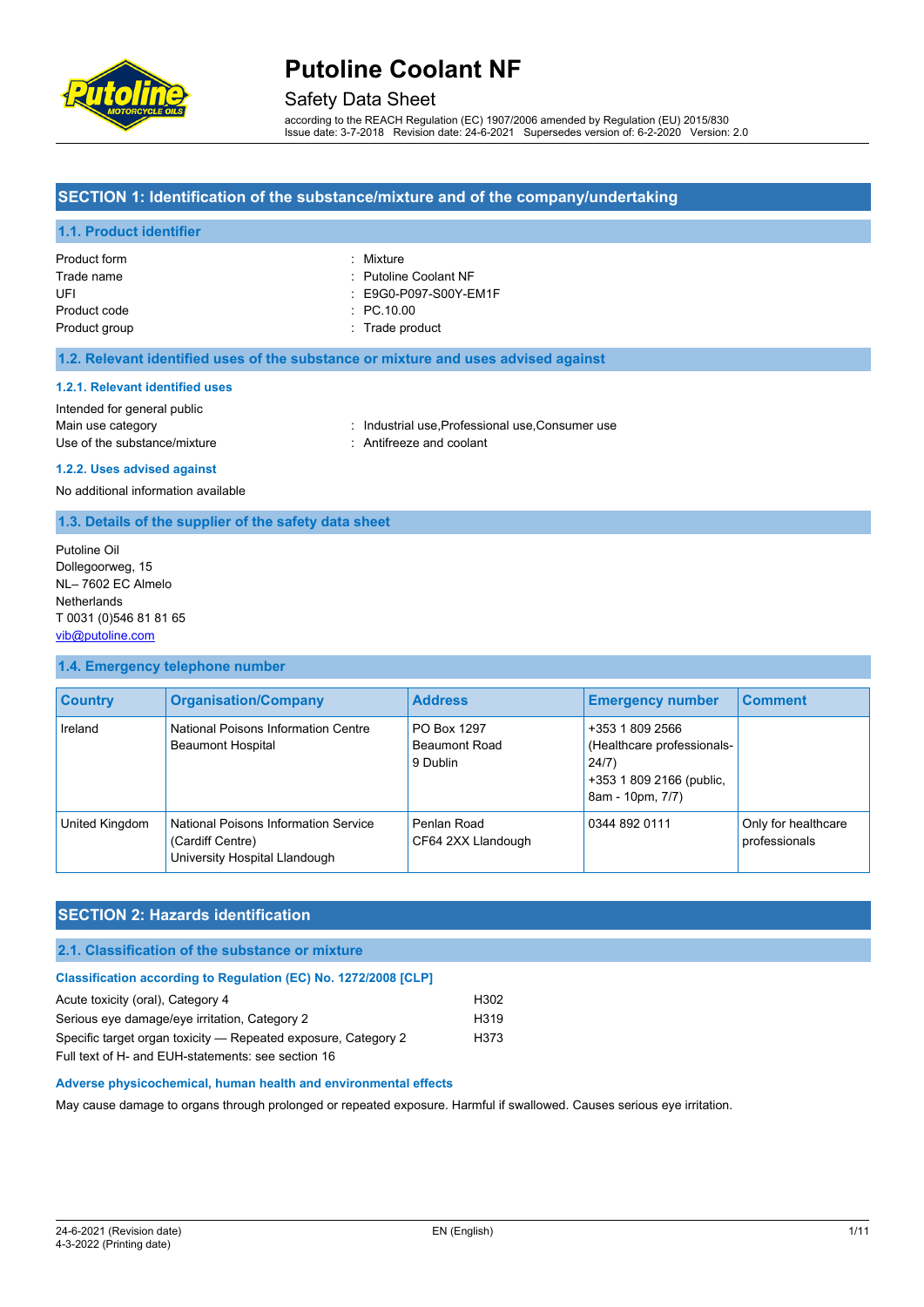

## Safety Data Sheet

according to the REACH Regulation (EC) 1907/2006 amended by Regulation (EU) 2015/830 Issue date: 3-7-2018 Revision date: 24-6-2021 Supersedes version of: 6-2-2020 Version: 2.0

### **SECTION 1: Identification of the substance/mixture and of the company/undertaking**

### **1.1. Product identifier**

| Product form  | : Mixture                        |
|---------------|----------------------------------|
| Trade name    | : Putoline Coolant NF            |
| UFL           | $\therefore$ E9G0-P097-S00Y-EM1F |
| Product code  | $\therefore$ PC.10.00            |
| Product group | : Trade product                  |

#### **1.2. Relevant identified uses of the substance or mixture and uses advised against**

#### **1.2.1. Relevant identified uses**

Intended for general public Use of the substance/mixture : Antifreeze and coolant

Main use category **industrial use, Professional use, Consumer use** industrial use, Professional use, Consumer use

**1.2.2. Uses advised against**

No additional information available

#### **1.3. Details of the supplier of the safety data sheet**

Putoline Oil Dollegoorweg, 15 NL– 7602 EC Almelo Netherlands T 0031 (0)546 81 81 65 [vib@putoline.com](mailto:vib@putoline.com)

#### **1.4. Emergency telephone number**

| <b>Country</b> | <b>Organisation/Company</b>                                                               | <b>Address</b>                                  | <b>Emergency number</b>                                                                                | <b>Comment</b>                       |
|----------------|-------------------------------------------------------------------------------------------|-------------------------------------------------|--------------------------------------------------------------------------------------------------------|--------------------------------------|
| Ireland        | National Poisons Information Centre<br><b>Beaumont Hospital</b>                           | PO Box 1297<br><b>Beaumont Road</b><br>9 Dublin | +353 1 809 2566<br>(Healthcare professionals-<br>24/7)<br>+353 1 809 2166 (public,<br>8am - 10pm, 7/7) |                                      |
| United Kingdom | National Poisons Information Service<br>(Cardiff Centre)<br>University Hospital Llandough | Penlan Road<br>CF64 2XX Llandough               | 0344 892 0111                                                                                          | Only for healthcare<br>professionals |

### **SECTION 2: Hazards identification**

### **2.1. Classification of the substance or mixture**

#### **Classification according to Regulation (EC) No. 1272/2008 [CLP]**

| Acute toxicity (oral), Category 4                              | H302             |
|----------------------------------------------------------------|------------------|
| Serious eye damage/eye irritation, Category 2                  | H <sub>319</sub> |
| Specific target organ toxicity — Repeated exposure, Category 2 | H373             |
| Full tout of LL, and FULL ototomontor ago agotion 10           |                  |

Full text of H- and EUH-statements: see section 16

#### **Adverse physicochemical, human health and environmental effects**

May cause damage to organs through prolonged or repeated exposure. Harmful if swallowed. Causes serious eye irritation.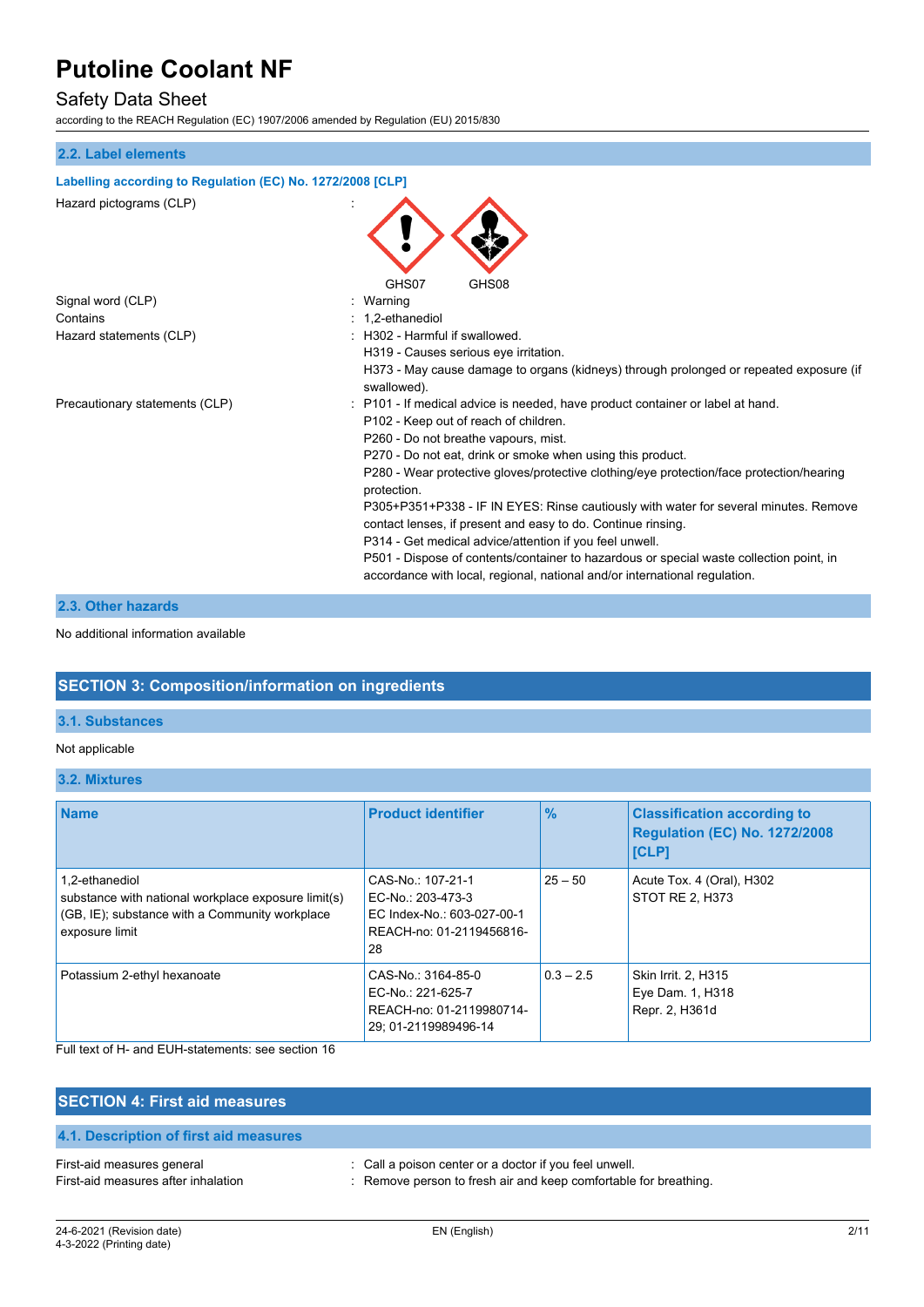# Safety Data Sheet

according to the REACH Regulation (EC) 1907/2006 amended by Regulation (EU) 2015/830

### **2.2. Label elements**

| Labelling according to Regulation (EC) No. 1272/2008 [CLP] |                                                                                                                                                                       |
|------------------------------------------------------------|-----------------------------------------------------------------------------------------------------------------------------------------------------------------------|
| Hazard pictograms (CLP)                                    | GHS07<br>GHS08                                                                                                                                                        |
| Signal word (CLP)                                          | Warning                                                                                                                                                               |
| Contains                                                   | 1.2-ethanediol                                                                                                                                                        |
| Hazard statements (CLP)                                    | H302 - Harmful if swallowed.                                                                                                                                          |
|                                                            | H319 - Causes serious eye irritation.                                                                                                                                 |
|                                                            | H373 - May cause damage to organs (kidneys) through prolonged or repeated exposure (if<br>swallowed).                                                                 |
| Precautionary statements (CLP)                             | P101 - If medical advice is needed, have product container or label at hand.<br>P102 - Keep out of reach of children.                                                 |
|                                                            | P260 - Do not breathe vapours, mist.                                                                                                                                  |
|                                                            | P270 - Do not eat, drink or smoke when using this product.                                                                                                            |
|                                                            | P280 - Wear protective gloves/protective clothing/eye protection/face protection/hearing<br>protection.                                                               |
|                                                            | P305+P351+P338 - IF IN EYES: Rinse cautiously with water for several minutes. Remove<br>contact lenses, if present and easy to do. Continue rinsing.                  |
|                                                            | P314 - Get medical advice/attention if you feel unwell.                                                                                                               |
|                                                            | P501 - Dispose of contents/container to hazardous or special waste collection point, in<br>accordance with local, regional, national and/or international regulation. |
|                                                            |                                                                                                                                                                       |

### **2.3. Other hazards**

#### No additional information available

### **SECTION 3: Composition/information on ingredients**

### **3.1. Substances**

#### Not applicable

**3.2. Mixtures**

| <b>Name</b>                                                                                                                               | <b>Product identifier</b>                                                                              | $\%$        | <b>Classification according to</b><br><b>Regulation (EC) No. 1272/2008</b><br><b>[CLP]</b> |
|-------------------------------------------------------------------------------------------------------------------------------------------|--------------------------------------------------------------------------------------------------------|-------------|--------------------------------------------------------------------------------------------|
| 1.2-ethanediol<br>substance with national workplace exposure limit(s)<br>(GB, IE); substance with a Community workplace<br>exposure limit | CAS-No.: 107-21-1<br>EC-No.: 203-473-3<br>EC Index-No.: 603-027-00-1<br>REACH-no: 01-2119456816-<br>28 | $25 - 50$   | Acute Tox. 4 (Oral), H302<br>STOT RE 2, H373                                               |
| Potassium 2-ethyl hexanoate                                                                                                               | CAS-No.: 3164-85-0<br>EC-No.: 221-625-7<br>REACH-no: 01-2119980714-<br>29: 01-2119989496-14            | $0.3 - 2.5$ | Skin Irrit. 2, H315<br>Eye Dam. 1, H318<br>Repr. 2, H361d                                  |

Full text of H- and EUH-statements: see section 16

| <b>SECTION 4: First aid measures</b>                              |                                                                                                                            |
|-------------------------------------------------------------------|----------------------------------------------------------------------------------------------------------------------------|
| 4.1. Description of first aid measures                            |                                                                                                                            |
| First-aid measures general<br>First-aid measures after inhalation | : Call a poison center or a doctor if you feel unwell.<br>: Remove person to fresh air and keep comfortable for breathing. |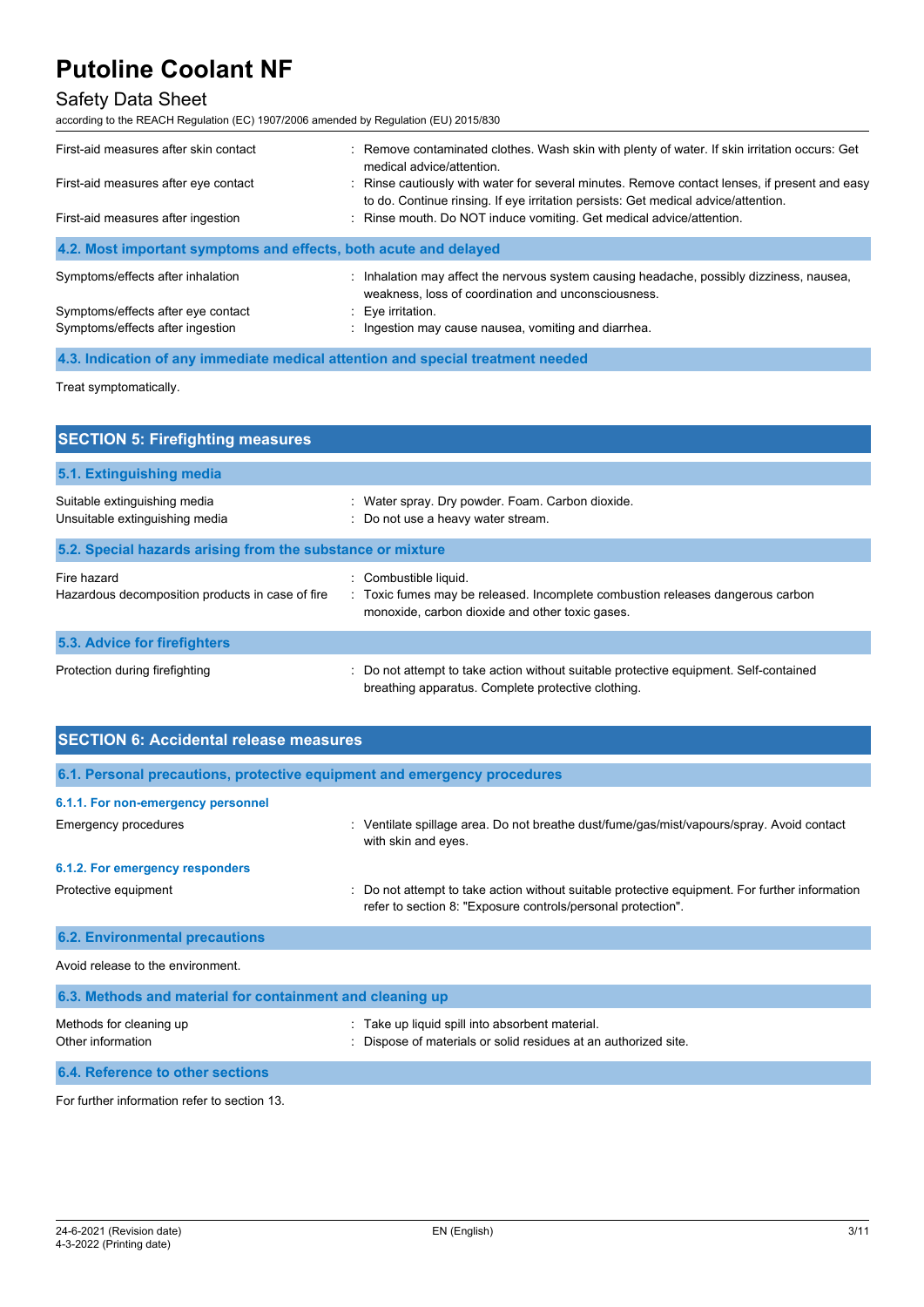# Safety Data Sheet

according to the REACH Regulation (EC) 1907/2006 amended by Regulation (EU) 2015/830

| First-aid measures after skin contact                            | : Remove contaminated clothes. Wash skin with plenty of water. If skin irritation occurs: Get<br>medical advice/attention.                                                          |  |
|------------------------------------------------------------------|-------------------------------------------------------------------------------------------------------------------------------------------------------------------------------------|--|
| First-aid measures after eye contact                             | : Rinse cautiously with water for several minutes. Remove contact lenses, if present and easy<br>to do. Continue rinsing. If eye irritation persists: Get medical advice/attention. |  |
| First-aid measures after ingestion                               | : Rinse mouth. Do NOT induce vomiting. Get medical advice/attention.                                                                                                                |  |
| 4.2. Most important symptoms and effects, both acute and delayed |                                                                                                                                                                                     |  |
| Symptoms/effects after inhalation                                | : Inhalation may affect the nervous system causing headache, possibly dizziness, nausea,<br>weakness, loss of coordination and unconsciousness.                                     |  |
| Symptoms/effects after eye contact                               | $: Eye$ irritation.                                                                                                                                                                 |  |
| Symptoms/effects after ingestion                                 | : Ingestion may cause nausea, vomiting and diarrhea.                                                                                                                                |  |

**4.3. Indication of any immediate medical attention and special treatment needed**

Treat symptomatically.

| <b>SECTION 5: Firefighting measures</b>                         |                                                                                                                                                            |  |  |
|-----------------------------------------------------------------|------------------------------------------------------------------------------------------------------------------------------------------------------------|--|--|
| 5.1. Extinguishing media                                        |                                                                                                                                                            |  |  |
| Suitable extinguishing media<br>Unsuitable extinguishing media  | Water spray. Dry powder. Foam. Carbon dioxide.<br>: Do not use a heavy water stream.                                                                       |  |  |
| 5.2. Special hazards arising from the substance or mixture      |                                                                                                                                                            |  |  |
| Fire hazard<br>Hazardous decomposition products in case of fire | : Combustible liquid.<br>: Toxic fumes may be released. Incomplete combustion releases dangerous carbon<br>monoxide, carbon dioxide and other toxic gases. |  |  |
| 5.3. Advice for firefighters                                    |                                                                                                                                                            |  |  |
| Protection during firefighting                                  | : Do not attempt to take action without suitable protective equipment. Self-contained<br>breathing apparatus. Complete protective clothing.                |  |  |

| <b>SECTION 6: Accidental release measures</b>                            |                                                                                                                                                              |  |  |
|--------------------------------------------------------------------------|--------------------------------------------------------------------------------------------------------------------------------------------------------------|--|--|
| 6.1. Personal precautions, protective equipment and emergency procedures |                                                                                                                                                              |  |  |
| 6.1.1. For non-emergency personnel                                       |                                                                                                                                                              |  |  |
| Emergency procedures                                                     | Ventilate spillage area. Do not breathe dust/fume/gas/mist/vapours/spray. Avoid contact<br>with skin and eyes.                                               |  |  |
| 6.1.2. For emergency responders                                          |                                                                                                                                                              |  |  |
| Protective equipment                                                     | Do not attempt to take action without suitable protective equipment. For further information<br>refer to section 8: "Exposure controls/personal protection". |  |  |
| <b>6.2. Environmental precautions</b>                                    |                                                                                                                                                              |  |  |
| Avoid release to the environment.                                        |                                                                                                                                                              |  |  |
| 6.3. Methods and material for containment and cleaning up                |                                                                                                                                                              |  |  |
| Methods for cleaning up<br>Other information                             | Take up liquid spill into absorbent material.<br>Dispose of materials or solid residues at an authorized site.                                               |  |  |

**6.4. Reference to other sections** For further information refer to section 13.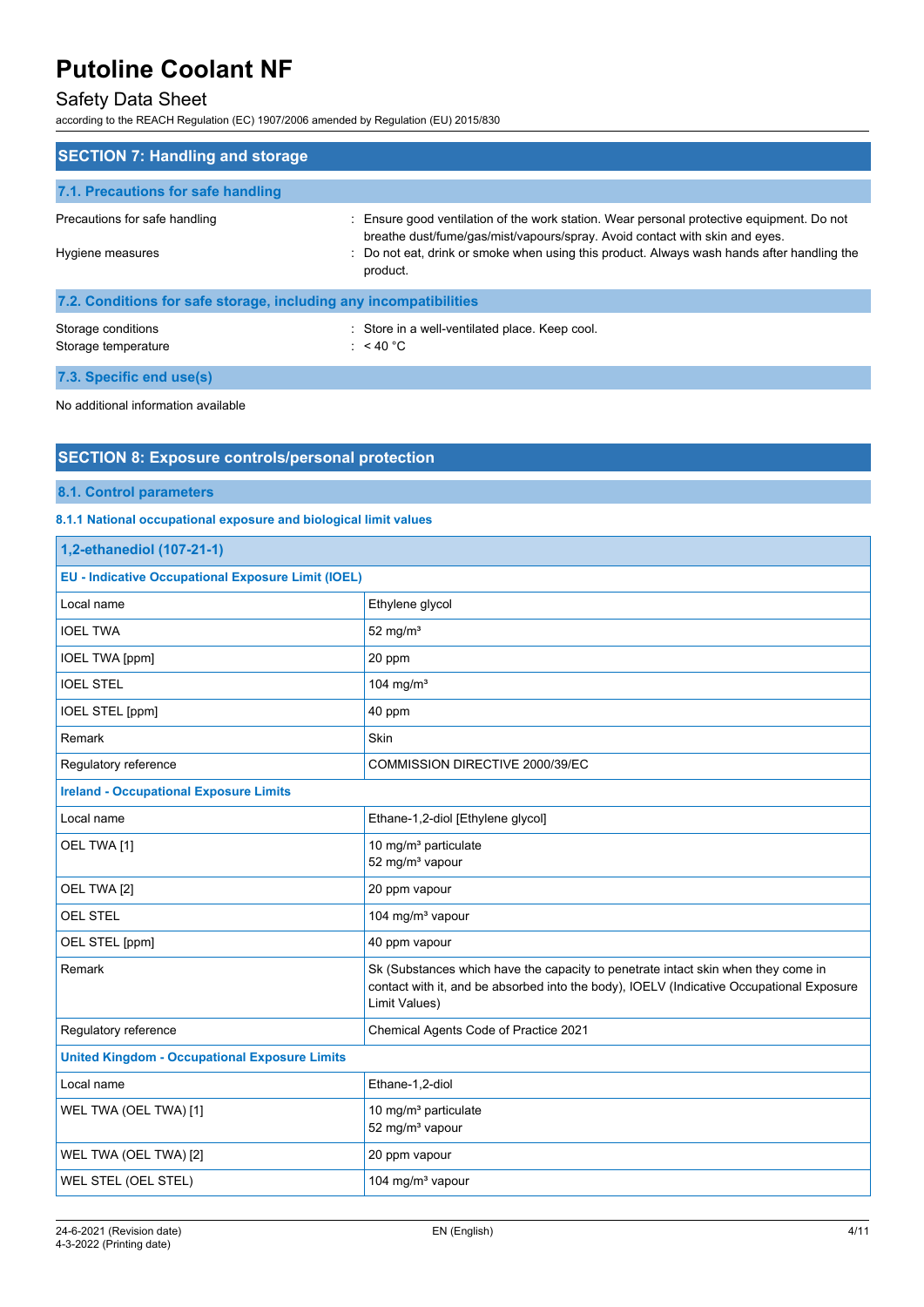# Safety Data Sheet

according to the REACH Regulation (EC) 1907/2006 amended by Regulation (EU) 2015/830

| <b>SECTION 7: Handling and storage</b>                            |                                                                                                                                                                                                                                                                                    |  |
|-------------------------------------------------------------------|------------------------------------------------------------------------------------------------------------------------------------------------------------------------------------------------------------------------------------------------------------------------------------|--|
| 7.1. Precautions for safe handling                                |                                                                                                                                                                                                                                                                                    |  |
| Precautions for safe handling<br>Hygiene measures                 | : Ensure good ventilation of the work station. Wear personal protective equipment. Do not<br>breathe dust/fume/gas/mist/vapours/spray. Avoid contact with skin and eyes.<br>: Do not eat, drink or smoke when using this product. Always wash hands after handling the<br>product. |  |
| 7.2. Conditions for safe storage, including any incompatibilities |                                                                                                                                                                                                                                                                                    |  |
| Storage conditions<br>Storage temperature                         | : Store in a well-ventilated place. Keep cool.<br>: $<$ 40 °C                                                                                                                                                                                                                      |  |
| 7.3. Specific end use(s)                                          |                                                                                                                                                                                                                                                                                    |  |

No additional information available

## **SECTION 8: Exposure controls/personal protection**

#### **8.1. Control parameters**

### **8.1.1 National occupational exposure and biological limit values**

| 1,2-ethanediol (107-21-1)                                 |                                                                                                                                                                                                |  |
|-----------------------------------------------------------|------------------------------------------------------------------------------------------------------------------------------------------------------------------------------------------------|--|
| <b>EU - Indicative Occupational Exposure Limit (IOEL)</b> |                                                                                                                                                                                                |  |
| Local name                                                | Ethylene glycol                                                                                                                                                                                |  |
| <b>IOEL TWA</b>                                           | 52 mg/ $m3$                                                                                                                                                                                    |  |
| <b>IOEL TWA [ppm]</b>                                     | 20 ppm                                                                                                                                                                                         |  |
| <b>IOEL STEL</b>                                          | 104 mg/m <sup>3</sup>                                                                                                                                                                          |  |
| IOEL STEL [ppm]                                           | 40 ppm                                                                                                                                                                                         |  |
| Remark                                                    | Skin                                                                                                                                                                                           |  |
| Regulatory reference                                      | COMMISSION DIRECTIVE 2000/39/EC                                                                                                                                                                |  |
| <b>Ireland - Occupational Exposure Limits</b>             |                                                                                                                                                                                                |  |
| Local name                                                | Ethane-1,2-diol [Ethylene glycol]                                                                                                                                                              |  |
| OEL TWA [1]                                               | 10 mg/m <sup>3</sup> particulate<br>52 mg/m <sup>3</sup> vapour                                                                                                                                |  |
| OEL TWA [2]                                               | 20 ppm vapour                                                                                                                                                                                  |  |
| <b>OEL STEL</b>                                           | 104 mg/m <sup>3</sup> vapour                                                                                                                                                                   |  |
| OEL STEL [ppm]                                            | 40 ppm vapour                                                                                                                                                                                  |  |
| Remark                                                    | Sk (Substances which have the capacity to penetrate intact skin when they come in<br>contact with it, and be absorbed into the body), IOELV (Indicative Occupational Exposure<br>Limit Values) |  |
| Regulatory reference                                      | Chemical Agents Code of Practice 2021                                                                                                                                                          |  |
| <b>United Kingdom - Occupational Exposure Limits</b>      |                                                                                                                                                                                                |  |
| Local name                                                | Ethane-1,2-diol                                                                                                                                                                                |  |
| WEL TWA (OEL TWA) [1]                                     | 10 mg/m <sup>3</sup> particulate<br>52 mg/m <sup>3</sup> vapour                                                                                                                                |  |
| WEL TWA (OEL TWA) [2]                                     | 20 ppm vapour                                                                                                                                                                                  |  |
| WEL STEL (OEL STEL)                                       | 104 mg/m <sup>3</sup> vapour                                                                                                                                                                   |  |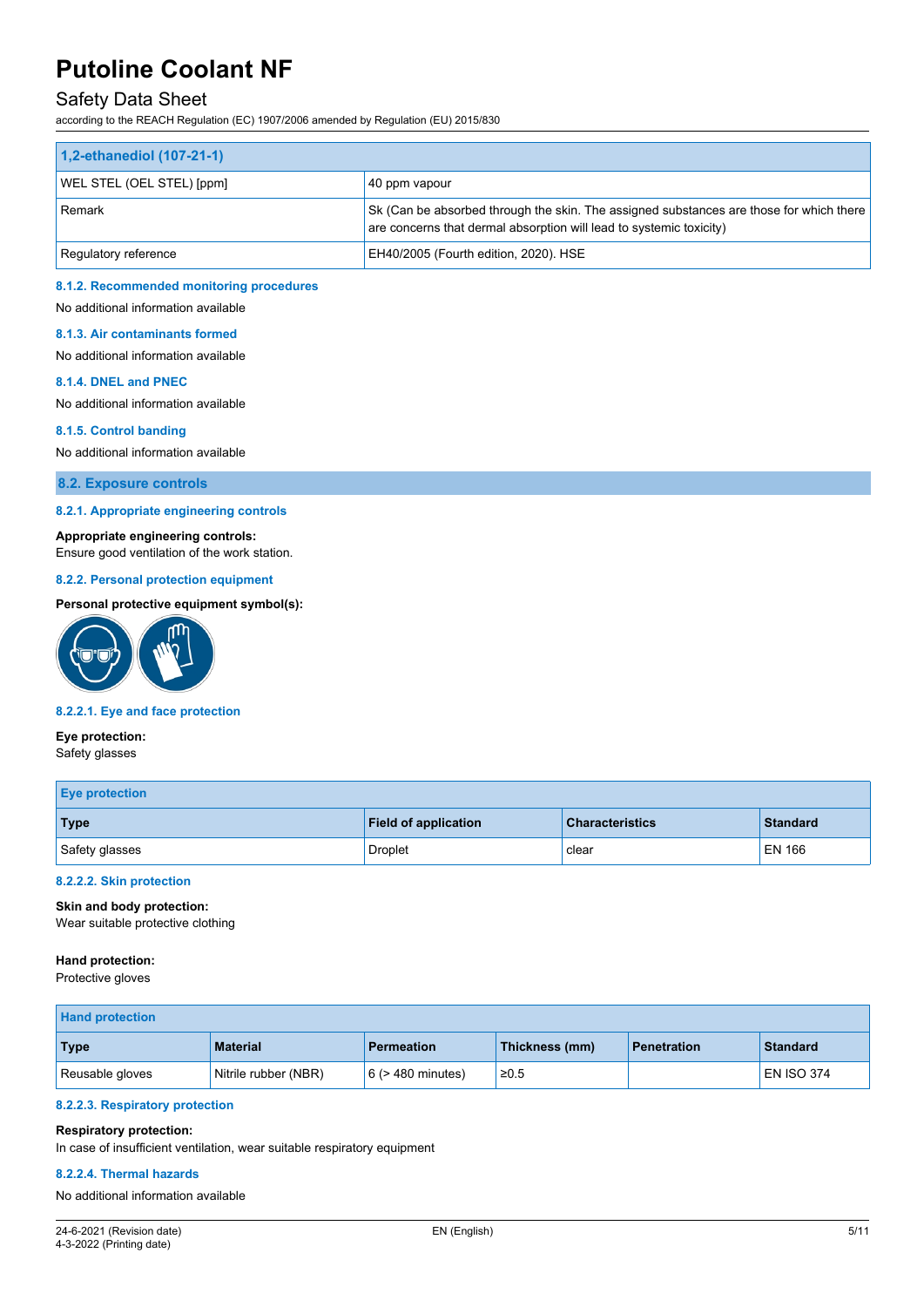## Safety Data Sheet

according to the REACH Regulation (EC) 1907/2006 amended by Regulation (EU) 2015/830

| 1,2-ethanediol (107-21-1) |                                                                                                                                                                |  |
|---------------------------|----------------------------------------------------------------------------------------------------------------------------------------------------------------|--|
| WEL STEL (OEL STEL) [ppm] | 40 ppm vapour                                                                                                                                                  |  |
| Remark                    | Sk (Can be absorbed through the skin. The assigned substances are those for which there<br>are concerns that dermal absorption will lead to systemic toxicity) |  |
| Regulatory reference      | EH40/2005 (Fourth edition, 2020). HSE                                                                                                                          |  |

#### **8.1.2. Recommended monitoring procedures**

No additional information available

#### **8.1.3. Air contaminants formed**

No additional information available

#### **8.1.4. DNEL and PNEC**

No additional information available

## **8.1.5. Control banding**

No additional information available

**8.2. Exposure controls**

#### **8.2.1. Appropriate engineering controls**

#### **Appropriate engineering controls:**

Ensure good ventilation of the work station.

#### **8.2.2. Personal protection equipment**

#### **Personal protective equipment symbol(s):**



#### **8.2.2.1. Eye and face protection**

# **Eye protection:**

Safety glasses

| <b>Eye protection</b> |                             |                        |                 |
|-----------------------|-----------------------------|------------------------|-----------------|
| Type                  | <b>Field of application</b> | <b>Characteristics</b> | <b>Standard</b> |
| Safety glasses        | Droplet                     | clear                  | EN 166          |

#### **8.2.2.2. Skin protection**

**Skin and body protection:** Wear suitable protective clothing

#### **Hand protection:**

Protective gloves

| <b>Hand protection</b> |                      |                        |                |                    |                   |
|------------------------|----------------------|------------------------|----------------|--------------------|-------------------|
| Type                   | <b>Material</b>      | <b>Permeation</b>      | Thickness (mm) | <b>Penetration</b> | <b>Standard</b>   |
| Reusable gloves        | Nitrile rubber (NBR) | $6$ ( $>$ 480 minutes) | $\geq 0.5$     |                    | <b>EN ISO 374</b> |

#### **8.2.2.3. Respiratory protection**

#### **Respiratory protection:**

In case of insufficient ventilation, wear suitable respiratory equipment

#### **8.2.2.4. Thermal hazards**

No additional information available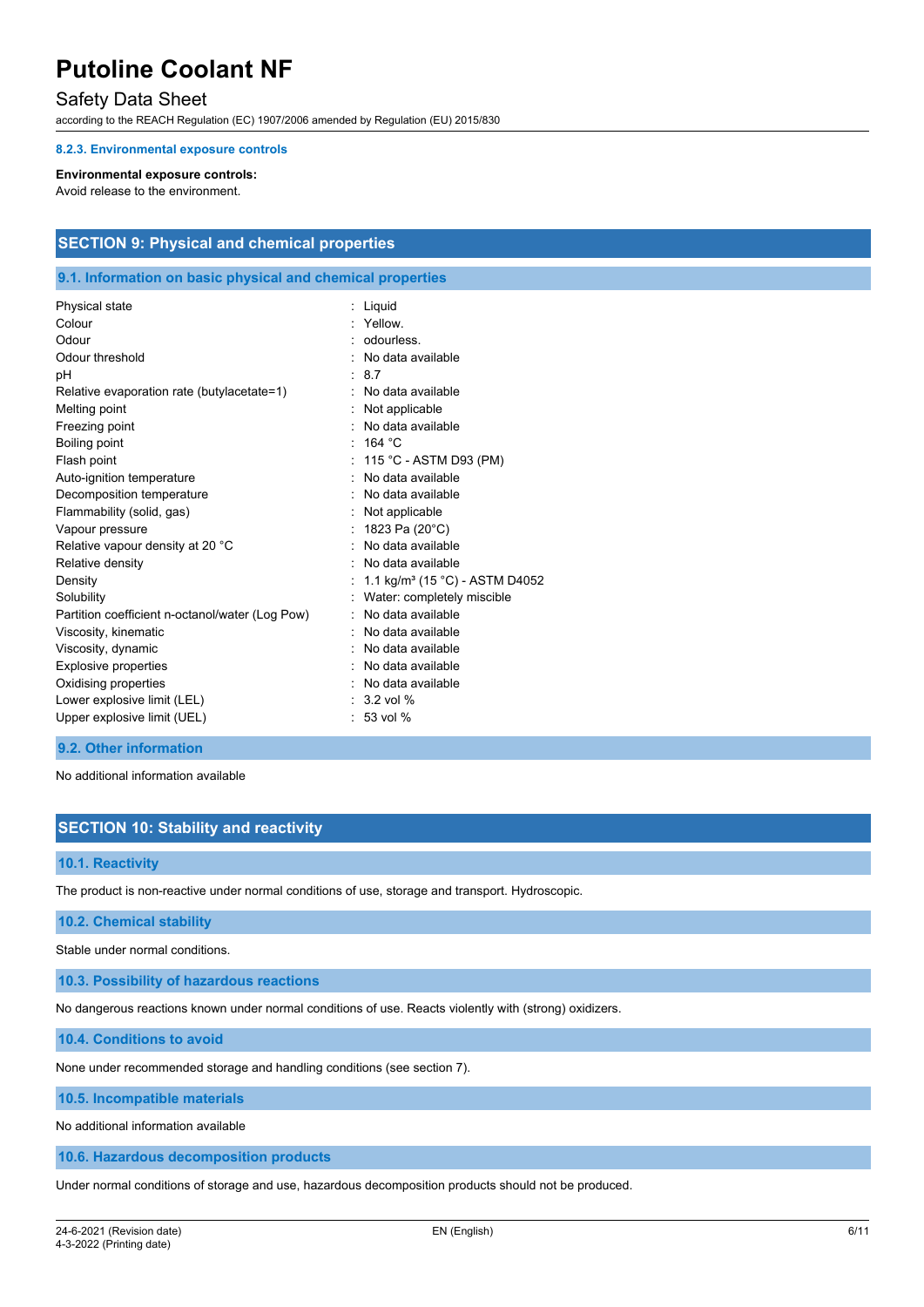## Safety Data Sheet

according to the REACH Regulation (EC) 1907/2006 amended by Regulation (EU) 2015/830

#### **8.2.3. Environmental exposure controls**

#### **Environmental exposure controls:**

Avoid release to the environment.

## **SECTION 9: Physical and chemical properties**

#### **9.1. Information on basic physical and chemical properties**

| Physical state                                  | : Liquid                                   |
|-------------------------------------------------|--------------------------------------------|
| Colour                                          | : Yellow.                                  |
| Odour                                           | : odourless.                               |
| Odour threshold                                 | No data available                          |
| рH                                              | 8.7                                        |
| Relative evaporation rate (butylacetate=1)      | No data available                          |
| Melting point                                   | Not applicable                             |
| Freezing point                                  | : No data available                        |
| Boiling point                                   | : 164 °C                                   |
| Flash point                                     | : $115 °C$ - ASTM D93 (PM)                 |
| Auto-ignition temperature                       | : No data available                        |
| Decomposition temperature                       | No data available                          |
| Flammability (solid, gas)                       | $:$ Not applicable                         |
| Vapour pressure                                 | 1823 Pa (20°C)                             |
| Relative vapour density at 20 °C                | : No data available                        |
| Relative density                                | No data available                          |
| Density                                         | 1.1 kg/m <sup>3</sup> (15 °C) - ASTM D4052 |
| Solubility                                      | Water: completely miscible                 |
| Partition coefficient n-octanol/water (Log Pow) | No data available                          |
| Viscosity, kinematic                            | No data available                          |
| Viscosity, dynamic                              | No data available                          |
| <b>Explosive properties</b>                     | : No data available                        |
| Oxidising properties                            | : No data available                        |
| Lower explosive limit (LEL)                     | $\therefore$ 3.2 vol %                     |
| Upper explosive limit (UEL)                     | $: 53$ vol %                               |

#### **9.2. Other information**

No additional information available

### **SECTION 10: Stability and reactivity**

#### **10.1. Reactivity**

The product is non-reactive under normal conditions of use, storage and transport. Hydroscopic.

#### **10.2. Chemical stability**

Stable under normal conditions.

**10.3. Possibility of hazardous reactions**

No dangerous reactions known under normal conditions of use. Reacts violently with (strong) oxidizers.

**10.4. Conditions to avoid**

None under recommended storage and handling conditions (see section 7).

**10.5. Incompatible materials**

No additional information available

**10.6. Hazardous decomposition products**

Under normal conditions of storage and use, hazardous decomposition products should not be produced.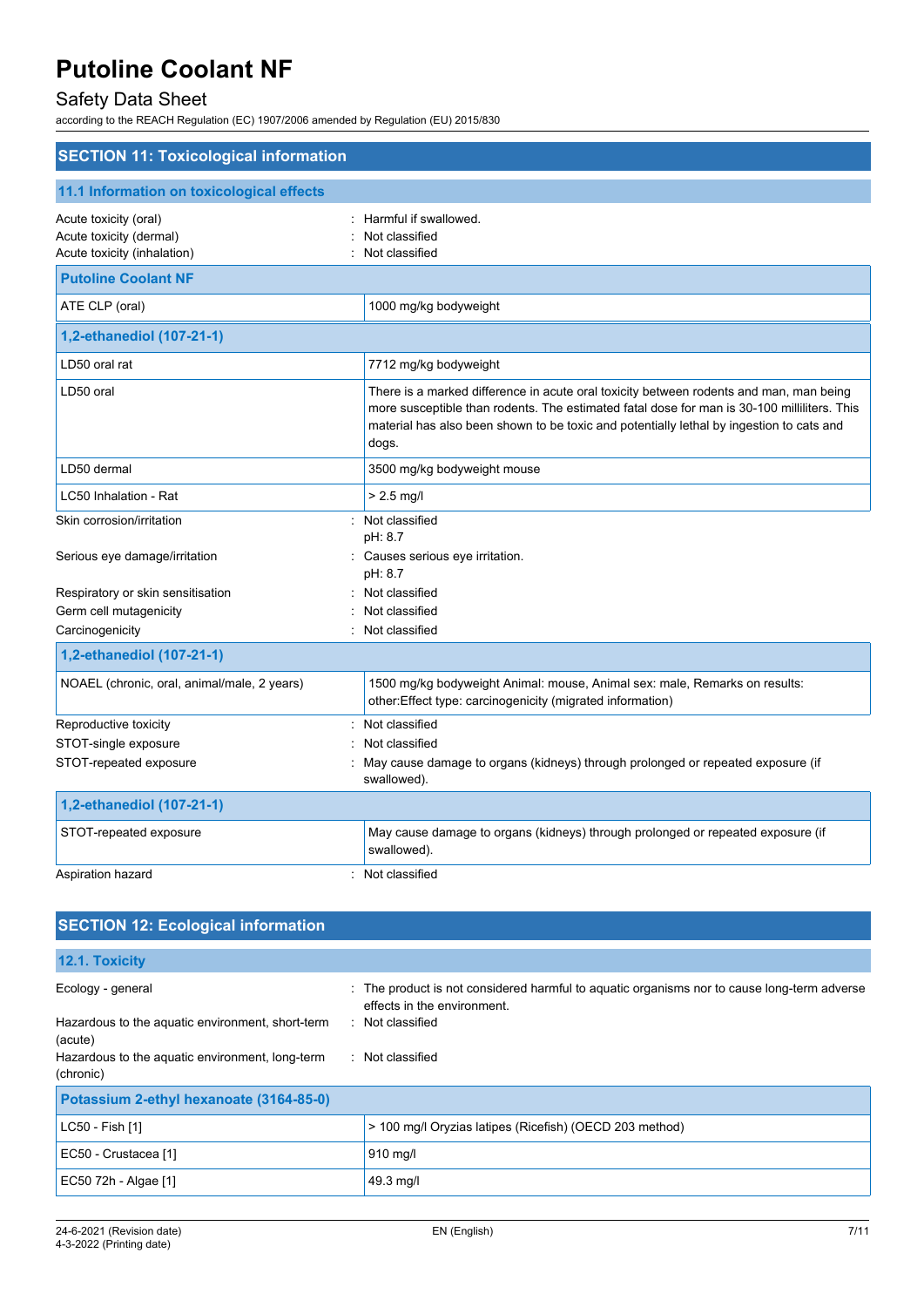# Safety Data Sheet

according to the REACH Regulation (EC) 1907/2006 amended by Regulation (EU) 2015/830

| <b>SECTION 11: Toxicological information</b>                                    |                                                                                                                                                                                                                                                                                            |
|---------------------------------------------------------------------------------|--------------------------------------------------------------------------------------------------------------------------------------------------------------------------------------------------------------------------------------------------------------------------------------------|
| 11.1 Information on toxicological effects                                       |                                                                                                                                                                                                                                                                                            |
| Acute toxicity (oral)<br>Acute toxicity (dermal)<br>Acute toxicity (inhalation) | Harmful if swallowed.<br>Not classified<br>Not classified                                                                                                                                                                                                                                  |
| <b>Putoline Coolant NF</b>                                                      |                                                                                                                                                                                                                                                                                            |
| ATE CLP (oral)                                                                  | 1000 mg/kg bodyweight                                                                                                                                                                                                                                                                      |
| 1,2-ethanediol (107-21-1)                                                       |                                                                                                                                                                                                                                                                                            |
| LD50 oral rat                                                                   | 7712 mg/kg bodyweight                                                                                                                                                                                                                                                                      |
| LD50 oral                                                                       | There is a marked difference in acute oral toxicity between rodents and man, man being<br>more susceptible than rodents. The estimated fatal dose for man is 30-100 milliliters. This<br>material has also been shown to be toxic and potentially lethal by ingestion to cats and<br>dogs. |
| LD50 dermal                                                                     | 3500 mg/kg bodyweight mouse                                                                                                                                                                                                                                                                |
| LC50 Inhalation - Rat                                                           | $> 2.5$ mg/l                                                                                                                                                                                                                                                                               |
| Skin corrosion/irritation<br>Serious eye damage/irritation                      | : Not classified<br>pH: 8.7<br>: Causes serious eye irritation.                                                                                                                                                                                                                            |
| Respiratory or skin sensitisation<br>Germ cell mutagenicity                     | pH: 8.7<br>Not classified<br>Not classified                                                                                                                                                                                                                                                |
| Carcinogenicity                                                                 | : Not classified                                                                                                                                                                                                                                                                           |
| 1,2-ethanediol (107-21-1)                                                       |                                                                                                                                                                                                                                                                                            |
| NOAEL (chronic, oral, animal/male, 2 years)                                     | 1500 mg/kg bodyweight Animal: mouse, Animal sex: male, Remarks on results:<br>other:Effect type: carcinogenicity (migrated information)                                                                                                                                                    |
| Reproductive toxicity                                                           | Not classified                                                                                                                                                                                                                                                                             |
| STOT-single exposure                                                            | Not classified                                                                                                                                                                                                                                                                             |
| STOT-repeated exposure                                                          | May cause damage to organs (kidneys) through prolonged or repeated exposure (if<br>swallowed).                                                                                                                                                                                             |
| 1,2-ethanediol (107-21-1)                                                       |                                                                                                                                                                                                                                                                                            |
| STOT-repeated exposure                                                          | May cause damage to organs (kidneys) through prolonged or repeated exposure (if<br>swallowed).                                                                                                                                                                                             |
| Aspiration hazard                                                               | Not classified                                                                                                                                                                                                                                                                             |

| <b>SECTION 12: Ecological information</b>                    |                                                                                                                            |
|--------------------------------------------------------------|----------------------------------------------------------------------------------------------------------------------------|
| 12.1. Toxicity                                               |                                                                                                                            |
| Ecology - general                                            | : The product is not considered harmful to aquatic organisms nor to cause long-term adverse<br>effects in the environment. |
| Hazardous to the aquatic environment, short-term<br>(acute)  | : Not classified                                                                                                           |
| Hazardous to the aquatic environment, long-term<br>(chronic) | : Not classified                                                                                                           |
| Potassium 2-ethyl hexanoate (3164-85-0)                      |                                                                                                                            |
| LC50 - Fish [1]                                              | > 100 mg/l Oryzias latipes (Ricefish) (OECD 203 method)                                                                    |
| EC50 - Crustacea [1]                                         | 910 mg/l                                                                                                                   |
| EC50 72h - Algae [1]                                         | 49.3 mg/l                                                                                                                  |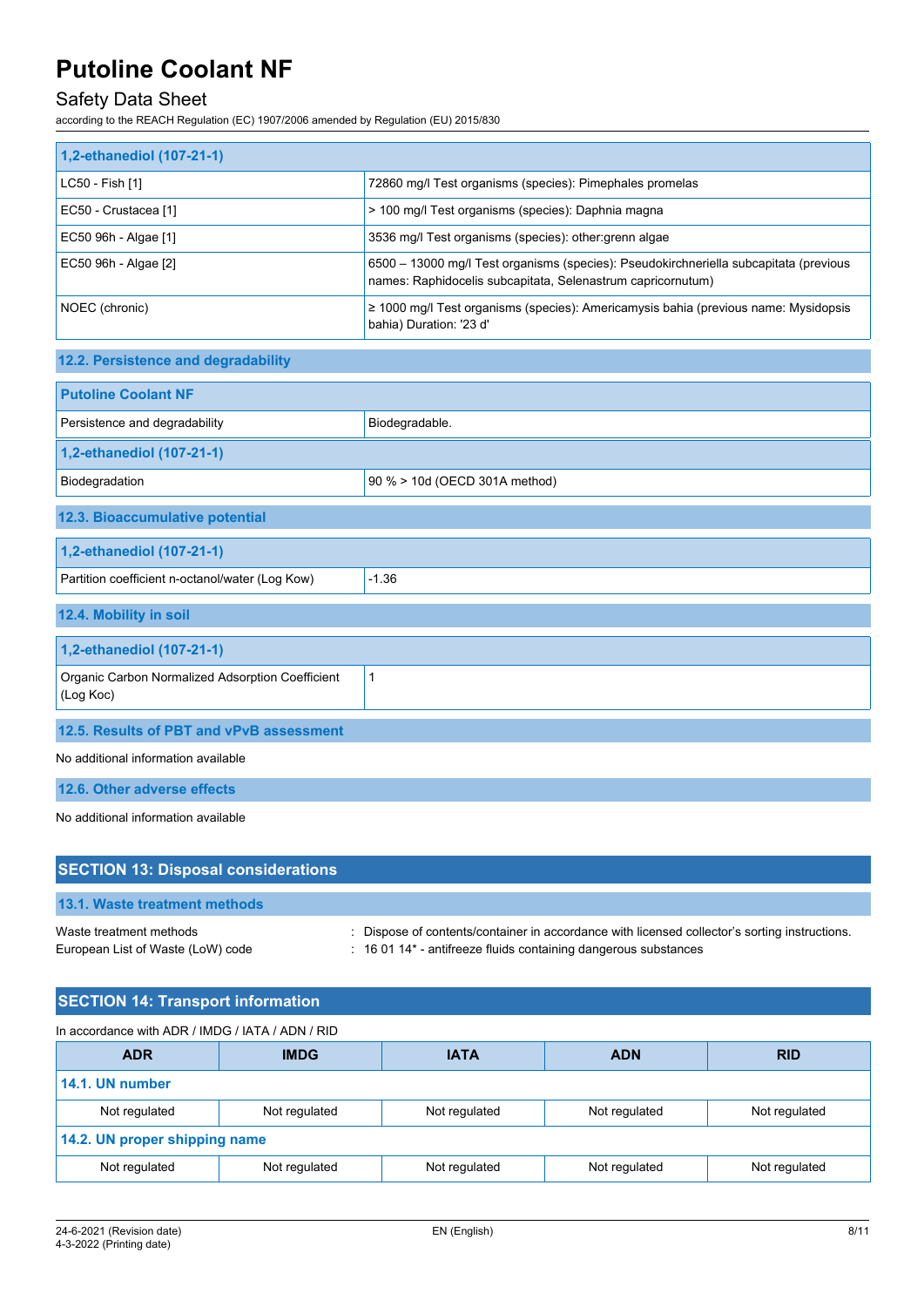# Safety Data Sheet

according to the REACH Regulation (EC) 1907/2006 amended by Regulation (EU) 2015/830

| 1,2-ethanediol (107-21-1) |                                                                                                                                                      |
|---------------------------|------------------------------------------------------------------------------------------------------------------------------------------------------|
| LC50 - Fish [1]           | 72860 mg/l Test organisms (species): Pimephales promelas                                                                                             |
| EC50 - Crustacea [1]      | > 100 mg/l Test organisms (species): Daphnia magna                                                                                                   |
| EC50 96h - Algae [1]      | 3536 mg/l Test organisms (species): other: grenn algae                                                                                               |
| EC50 96h - Algae [2]      | 6500 - 13000 mg/l Test organisms (species): Pseudokirchneriella subcapitata (previous<br>names: Raphidocelis subcapitata, Selenastrum capricornutum) |
| NOEC (chronic)            | $\geq$ 1000 mg/l Test organisms (species): Americamysis bahia (previous name: Mysidopsis<br>bahia) Duration: '23 d'                                  |

## **12.2. Persistence and degradability**

| <b>Putoline Coolant NF</b>                                         |                               |  |  |  |
|--------------------------------------------------------------------|-------------------------------|--|--|--|
| Persistence and degradability                                      | Biodegradable.                |  |  |  |
| 1,2-ethanediol (107-21-1)                                          |                               |  |  |  |
| Biodegradation                                                     | 90 % > 10d (OECD 301A method) |  |  |  |
| 12.3. Bioaccumulative potential                                    |                               |  |  |  |
| 1,2-ethanediol (107-21-1)                                          |                               |  |  |  |
| Partition coefficient n-octanol/water (Log Kow)                    | $-1.36$                       |  |  |  |
| 12.4. Mobility in soil                                             |                               |  |  |  |
| 1,2-ethanediol (107-21-1)                                          |                               |  |  |  |
| Organic Carbon Normalized Adsorption Coefficient<br>1<br>(Log Koc) |                               |  |  |  |
| 12.5. Results of PBT and vPvB assessment                           |                               |  |  |  |

No additional information available

**12.6. Other adverse effects**

No additional information available

| <b>SECTION 13: Disposal considerations</b>                   |                                                                                                                                                                             |
|--------------------------------------------------------------|-----------------------------------------------------------------------------------------------------------------------------------------------------------------------------|
| <b>13.1. Waste treatment methods</b>                         |                                                                                                                                                                             |
| Waste treatment methods<br>European List of Waste (LoW) code | : Dispose of contents/container in accordance with licensed collector's sorting instructions.<br>$\therefore$ 16 01 14* - antifreeze fluids containing dangerous substances |

|  | <b>SECTION 14: Transport information</b> |
|--|------------------------------------------|
|  |                                          |

| In accordance with ADR / IMDG / IATA / ADN / RID                                  |  |  |            |  |  |
|-----------------------------------------------------------------------------------|--|--|------------|--|--|
| <b>IMDG</b><br><b>ADR</b><br><b>IATA</b><br><b>ADN</b>                            |  |  | <b>RID</b> |  |  |
| 14.1. UN number                                                                   |  |  |            |  |  |
| Not regulated<br>Not regulated<br>Not regulated<br>Not regulated<br>Not regulated |  |  |            |  |  |
| 14.2. UN proper shipping name                                                     |  |  |            |  |  |
| Not regulated<br>Not regulated<br>Not regulated<br>Not regulated<br>Not regulated |  |  |            |  |  |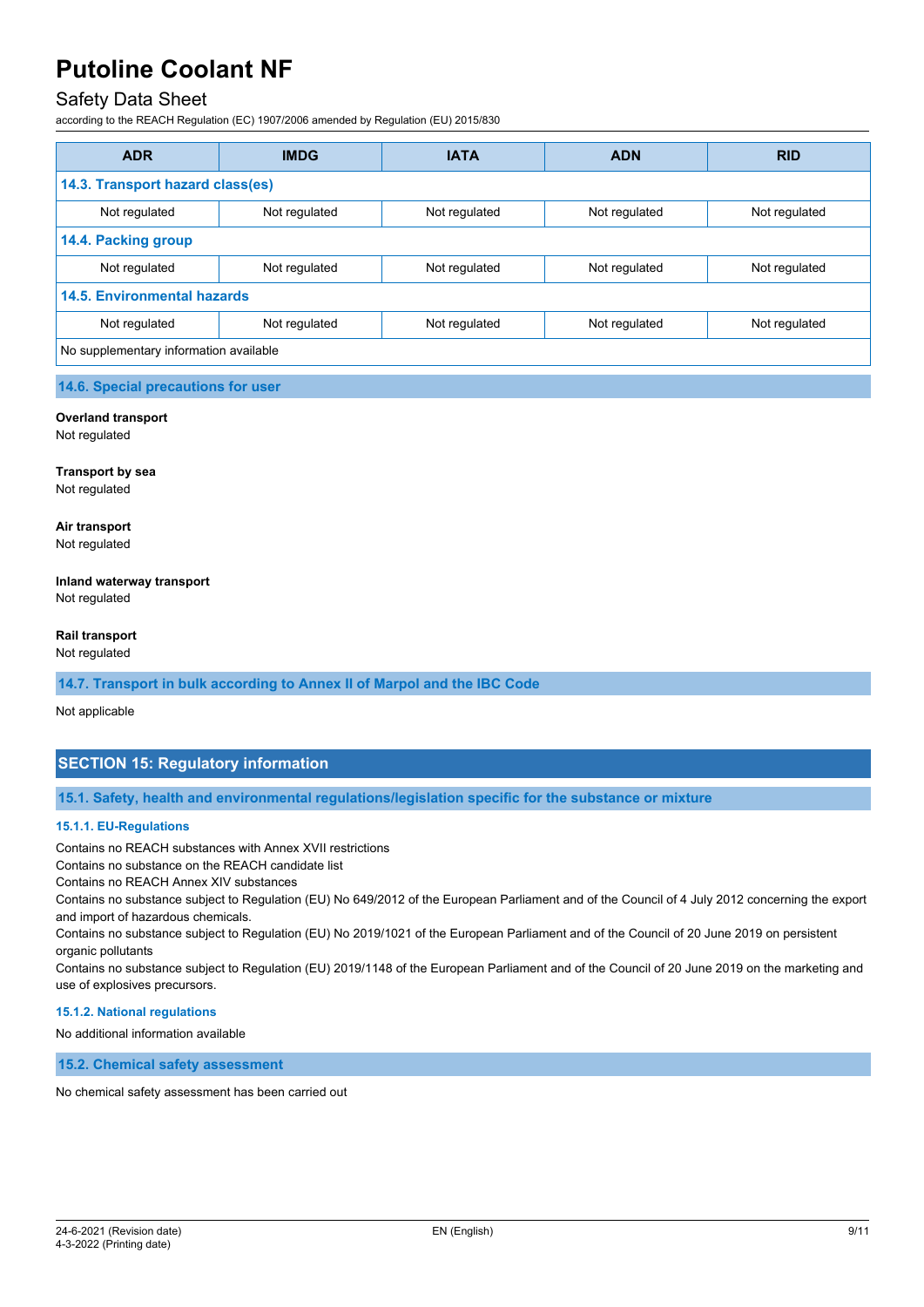## Safety Data Sheet

according to the REACH Regulation (EC) 1907/2006 amended by Regulation (EU) 2015/830

| <b>ADR</b>                             | <b>IMDG</b>   | <b>IATA</b>   | <b>ADN</b>    | <b>RID</b>    |
|----------------------------------------|---------------|---------------|---------------|---------------|
| 14.3. Transport hazard class(es)       |               |               |               |               |
| Not regulated                          | Not regulated | Not regulated | Not regulated | Not regulated |
| 14.4. Packing group                    |               |               |               |               |
| Not regulated                          | Not regulated | Not regulated | Not regulated | Not regulated |
| <b>14.5. Environmental hazards</b>     |               |               |               |               |
| Not regulated                          | Not regulated | Not regulated | Not regulated | Not regulated |
| No supplementary information available |               |               |               |               |

#### **14.6. Special precautions for user**

#### **Overland transport**

Not regulated

**Transport by sea** Not regulated

**Air transport** Not regulated

## **Inland waterway transport**

Not regulated

#### **Rail transport**

Not regulated

#### **14.7. Transport in bulk according to Annex II of Marpol and the IBC Code**

Not applicable

### **SECTION 15: Regulatory information**

**15.1. Safety, health and environmental regulations/legislation specific for the substance or mixture**

#### **15.1.1. EU-Regulations**

Contains no REACH substances with Annex XVII restrictions

Contains no substance on the REACH candidate list

Contains no REACH Annex XIV substances

Contains no substance subject to Regulation (EU) No 649/2012 of the European Parliament and of the Council of 4 July 2012 concerning the export and import of hazardous chemicals.

Contains no substance subject to Regulation (EU) No 2019/1021 of the European Parliament and of the Council of 20 June 2019 on persistent organic pollutants

Contains no substance subject to Regulation (EU) 2019/1148 of the European Parliament and of the Council of 20 June 2019 on the marketing and use of explosives precursors.

#### **15.1.2. National regulations**

No additional information available

**15.2. Chemical safety assessment**

No chemical safety assessment has been carried out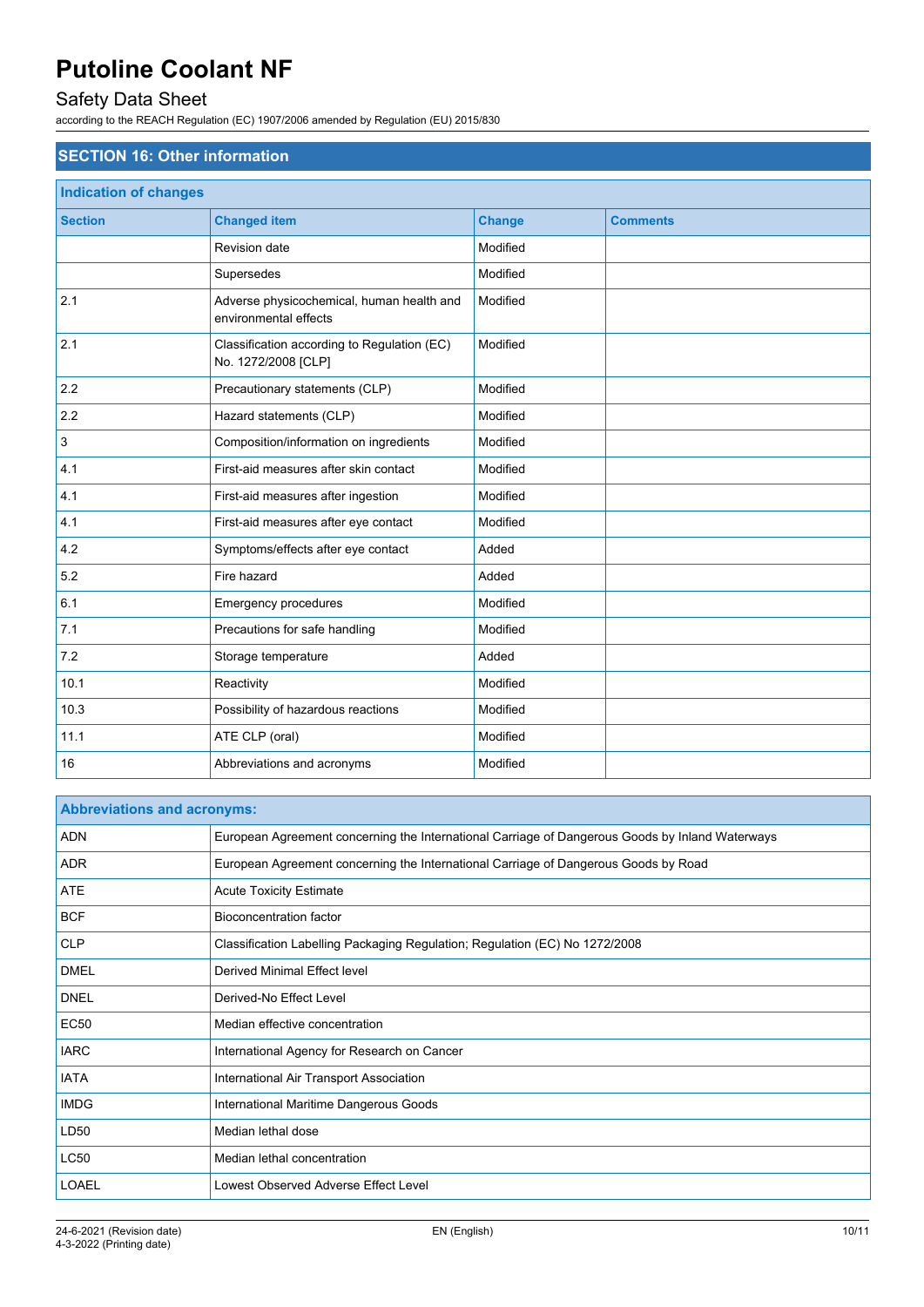# Safety Data Sheet

according to the REACH Regulation (EC) 1907/2006 amended by Regulation (EU) 2015/830

| <b>SECTION 16: Other information</b> |                                                                    |               |                 |  |  |
|--------------------------------------|--------------------------------------------------------------------|---------------|-----------------|--|--|
| <b>Indication of changes</b>         |                                                                    |               |                 |  |  |
| <b>Section</b>                       | <b>Changed item</b>                                                | <b>Change</b> | <b>Comments</b> |  |  |
|                                      | <b>Revision date</b>                                               | Modified      |                 |  |  |
|                                      | Supersedes                                                         | Modified      |                 |  |  |
| 2.1                                  | Adverse physicochemical, human health and<br>environmental effects | Modified      |                 |  |  |
| 2.1                                  | Classification according to Regulation (EC)<br>No. 1272/2008 [CLP] | Modified      |                 |  |  |
| 2.2                                  | Precautionary statements (CLP)                                     | Modified      |                 |  |  |
| 2.2                                  | Hazard statements (CLP)                                            | Modified      |                 |  |  |
| 3                                    | Composition/information on ingredients                             | Modified      |                 |  |  |
| 4.1                                  | First-aid measures after skin contact                              | Modified      |                 |  |  |
| 4.1                                  | First-aid measures after ingestion                                 | Modified      |                 |  |  |
| 4.1                                  | First-aid measures after eye contact                               | Modified      |                 |  |  |
| 4.2                                  | Symptoms/effects after eye contact                                 | Added         |                 |  |  |
| 5.2                                  | Fire hazard                                                        | Added         |                 |  |  |
| 6.1                                  | Emergency procedures                                               | Modified      |                 |  |  |
| 7.1                                  | Precautions for safe handling                                      | Modified      |                 |  |  |
| 7.2                                  | Storage temperature                                                | Added         |                 |  |  |
| 10.1                                 | Reactivity                                                         | Modified      |                 |  |  |
| 10.3                                 | Possibility of hazardous reactions                                 | Modified      |                 |  |  |
| 11.1                                 | ATE CLP (oral)                                                     | Modified      |                 |  |  |
| 16                                   | Abbreviations and acronyms                                         | Modified      |                 |  |  |

| <b>Abbreviations and acronyms:</b> |                                                                                                 |  |
|------------------------------------|-------------------------------------------------------------------------------------------------|--|
| <b>ADN</b>                         | European Agreement concerning the International Carriage of Dangerous Goods by Inland Waterways |  |
| <b>ADR</b>                         | European Agreement concerning the International Carriage of Dangerous Goods by Road             |  |
| <b>ATE</b>                         | <b>Acute Toxicity Estimate</b>                                                                  |  |
| <b>BCF</b>                         | Bioconcentration factor                                                                         |  |
| <b>CLP</b>                         | Classification Labelling Packaging Regulation; Regulation (EC) No 1272/2008                     |  |
| <b>DMEL</b>                        | Derived Minimal Effect level                                                                    |  |
| <b>DNEL</b>                        | Derived-No Effect Level                                                                         |  |
| <b>EC50</b>                        | Median effective concentration                                                                  |  |
| <b>IARC</b>                        | International Agency for Research on Cancer                                                     |  |
| <b>IATA</b>                        | International Air Transport Association                                                         |  |
| <b>IMDG</b>                        | International Maritime Dangerous Goods                                                          |  |
| LD50                               | Median lethal dose                                                                              |  |
| <b>LC50</b>                        | Median lethal concentration                                                                     |  |
| <b>LOAEL</b>                       | Lowest Observed Adverse Effect Level                                                            |  |